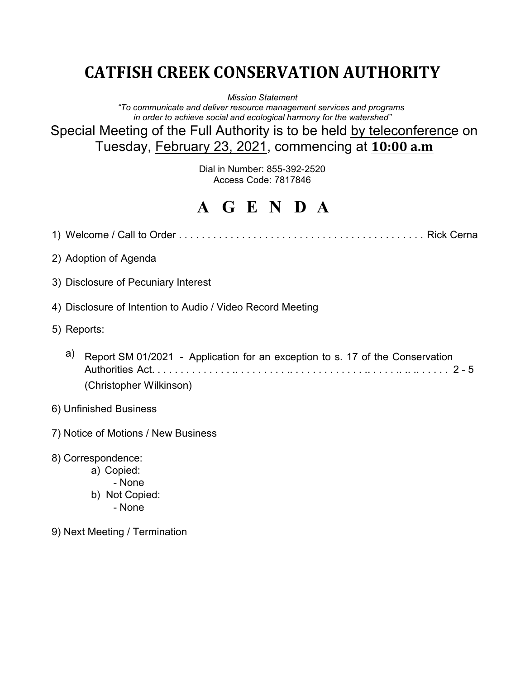# **CATFISH CREEK CONSERVATION AUTHORITY**

*Mission Statement*

*"To communicate and deliver resource management services and programs in order to achieve social and ecological harmony for the watershed"*

Special Meeting of the Full Authority is to be held by teleconference on Tuesday, February 23, 2021, commencing at **10:00 a.m**

> Dial in Number: 855-392-2520 Access Code: 7817846

# **A G E N D A**

|                                                            | 2) Adoption of Agenda                                                                                    |  |  |
|------------------------------------------------------------|----------------------------------------------------------------------------------------------------------|--|--|
|                                                            | 3) Disclosure of Pecuniary Interest                                                                      |  |  |
| 4) Disclosure of Intention to Audio / Video Record Meeting |                                                                                                          |  |  |
| 5) Reports:                                                |                                                                                                          |  |  |
| a)                                                         | Report SM 01/2021 - Application for an exception to s. 17 of the Conservation<br>(Christopher Wilkinson) |  |  |
| 6) Unfinished Business                                     |                                                                                                          |  |  |
| 7) Notice of Motions / New Business                        |                                                                                                          |  |  |
|                                                            | 8) Correspondence:<br>a) Copied:<br>- None                                                               |  |  |

- b) Not Copied:
	- None
- 9) Next Meeting / Termination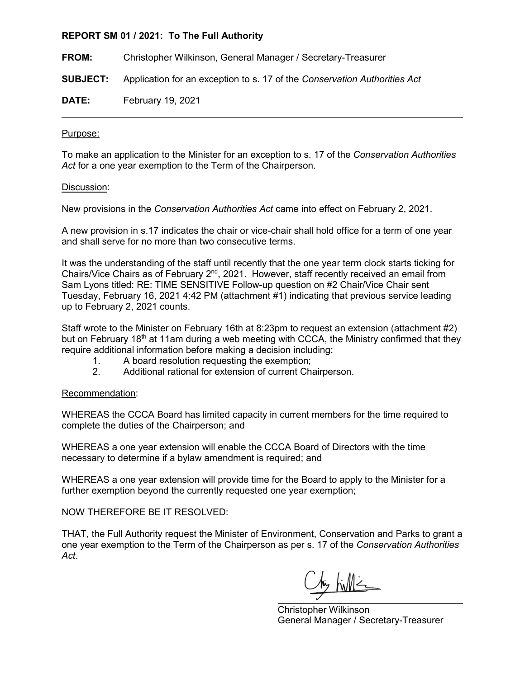### **REPORT SM 01 / 2021: To The Full Authority**

**FROM:** Christopher Wilkinson, General Manager / Secretary-Treasurer

**SUBJECT:** Application for an exception to s. 17 of the *Conservation Authorities Act*

**DATE:** February 19, 2021

### Purpose:

To make an application to the Minister for an exception to s. 17 of the *Conservation Authorities Act* for a one year exemption to the Term of the Chairperson.

#### Discussion:

New provisions in the *Conservation Authorities Act* came into effect on February 2, 2021.

A new provision in s.17 indicates the chair or vice-chair shall hold office for a term of one year and shall serve for no more than two consecutive terms.

It was the understanding of the staff until recently that the one year term clock starts ticking for Chairs/Vice Chairs as of February 2nd, 2021. However, staff recently received an email from Sam Lyons titled: RE: TIME SENSITIVE Follow-up question on #2 Chair/Vice Chair sent Tuesday, February 16, 2021 4:42 PM (attachment #1) indicating that previous service leading up to February 2, 2021 counts.

Staff wrote to the Minister on February 16th at 8:23pm to request an extension (attachment #2) but on February 18<sup>th</sup> at 11am during a web meeting with CCCA, the Ministry confirmed that they require additional information before making a decision including:

- 1. A board resolution requesting the exemption;
- 2. Additional rational for extension of current Chairperson.

### Recommendation:

WHEREAS the CCCA Board has limited capacity in current members for the time required to complete the duties of the Chairperson; and

WHEREAS a one year extension will enable the CCCA Board of Directors with the time necessary to determine if a bylaw amendment is required; and

WHEREAS a one year extension will provide time for the Board to apply to the Minister for a further exemption beyond the currently requested one year exemption;

NOW THEREFORE BE IT RESOLVED:

THAT, the Full Authority request the Minister of Environment, Conservation and Parks to grant a one year exemption to the Term of the Chairperson as per s. 17 of the *Conservation Authorities Act*.

Christopher Wilkinson General Manager / Secretary-Treasurer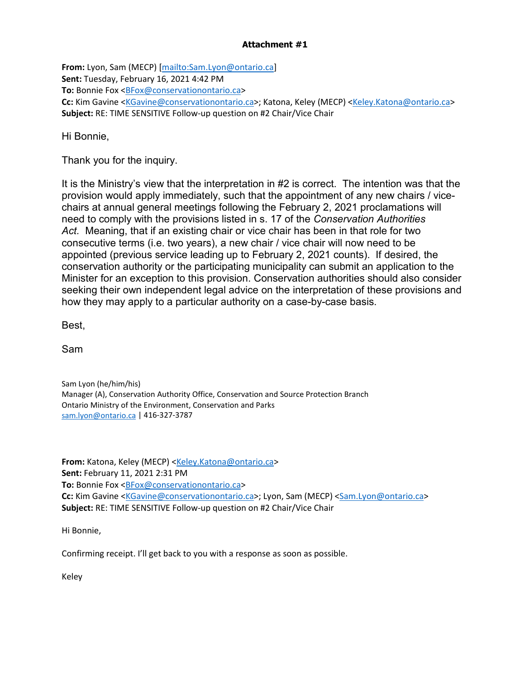## **Attachment #1**

**From:** Lyon, Sam (MECP) [\[mailto:Sam.Lyon@ontario.ca\]](mailto:Sam.Lyon@ontario.ca) **Sent:** Tuesday, February 16, 2021 4:42 PM **To:** Bonnie Fox [<BFox@conservationontario.ca>](mailto:BFox@conservationontario.ca) Cc: Kim Gavine [<KGavine@conservationontario.ca>](mailto:KGavine@conservationontario.ca); Katona, Keley (MECP) [<Keley.Katona@ontario.ca>](mailto:Keley.Katona@ontario.ca) **Subject:** RE: TIME SENSITIVE Follow-up question on #2 Chair/Vice Chair

Hi Bonnie,

Thank you for the inquiry.

It is the Ministry's view that the interpretation in #2 is correct. The intention was that the provision would apply immediately, such that the appointment of any new chairs / vicechairs at annual general meetings following the February 2, 2021 proclamations will need to comply with the provisions listed in s. 17 of the *Conservation Authorities Act.* Meaning, that if an existing chair or vice chair has been in that role for two consecutive terms (i.e. two years), a new chair / vice chair will now need to be appointed (previous service leading up to February 2, 2021 counts). If desired, the conservation authority or the participating municipality can submit an application to the Minister for an exception to this provision. Conservation authorities should also consider seeking their own independent legal advice on the interpretation of these provisions and how they may apply to a particular authority on a case-by-case basis.

Best,

Sam

Sam Lyon (he/him/his) Manager (A), Conservation Authority Office, Conservation and Source Protection Branch Ontario Ministry of the Environment, Conservation and Parks [sam.lyon@ontario.ca](mailto:sam.lyon@ontario.ca) | 416-327-3787

From: Katona, Keley (MECP) [<Keley.Katona@ontario.ca>](mailto:Keley.Katona@ontario.ca) **Sent:** February 11, 2021 2:31 PM To: Bonnie Fox <**BFox@conservationontario.ca> Cc:** Kim Gavine [<KGavine@conservationontario.ca>](mailto:KGavine@conservationontario.ca); Lyon, Sam (MECP) [<Sam.Lyon@ontario.ca>](mailto:Sam.Lyon@ontario.ca) **Subject:** RE: TIME SENSITIVE Follow-up question on #2 Chair/Vice Chair

Hi Bonnie,

Confirming receipt. I'll get back to you with a response as soon as possible.

Keley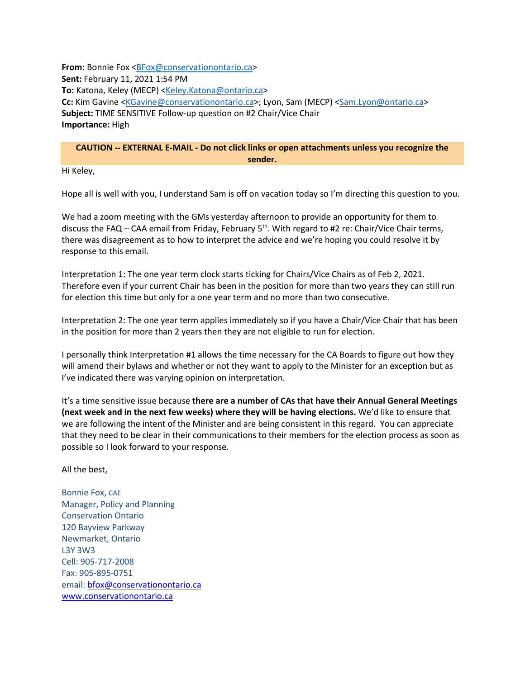**From:** Bonnie Fox [<BFox@conservationontario.ca>](mailto:BFox@conservationontario.ca) **Sent:** February 11, 2021 1:54 PM **To:** Katona, Keley (MECP) [<Keley.Katona@ontario.ca>](mailto:Keley.Katona@ontario.ca) Cc: Kim Gavine [<KGavine@conservationontario.ca>](mailto:KGavine@conservationontario.ca); Lyon, Sam (MECP) [<Sam.Lyon@ontario.ca>](mailto:Sam.Lyon@ontario.ca) **Subject:** TIME SENSITIVE Follow-up question on #2 Chair/Vice Chair **Importance:** High

#### **CAUTION -- EXTERNAL E-MAIL - Do not click links or open attachments unless you recognize the sender.**

Hi Keley,

Hope all is well with you, I understand Sam is off on vacation today so I'm directing this question to you.

We had a zoom meeting with the GMs yesterday afternoon to provide an opportunity for them to discuss the FAQ – CAA email from Friday, February  $5<sup>th</sup>$ . With regard to #2 re: Chair/Vice Chair terms, there was disagreement as to how to interpret the advice and we're hoping you could resolve it by response to this email.

Interpretation 1: The one year term clock starts ticking for Chairs/Vice Chairs as of Feb 2, 2021. Therefore even if your current Chair has been in the position for more than two years they can still run for election this time but only for a one year term and no more than two consecutive.

Interpretation 2: The one year term applies immediately so if you have a Chair/Vice Chair that has been in the position for more than 2 years then they are not eligible to run for election.

I personally think Interpretation #1 allows the time necessary for the CA Boards to figure out how they will amend their bylaws and whether or not they want to apply to the Minister for an exception but as I've indicated there was varying opinion on interpretation.

It's a time sensitive issue because **there are a number of CAs that have their Annual General Meetings (next week and in the next few weeks) where they will be having elections.** We'd like to ensure that we are following the intent of the Minister and are being consistent in this regard. You can appreciate that they need to be clear in their communications to their members for the election process as soon as possible so I look forward to your response.

All the best,

Bonnie Fox, CAE Manager, Policy and Planning Conservation Ontario 120 Bayview Parkway Newmarket, Ontario L3Y 3W3 Cell: 905-717-2008 Fax: 905-895-0751 email: [bfox@conservationontario.ca](mailto:bfox@conservationontario.ca) [www.conservationontario.ca](https://can01.safelinks.protection.outlook.com/?url=http%3A%2F%2Fwww.conservationontario.ca%2F&data=04%7C01%7CKeley.Katona%40ontario.ca%7C5e137a2805a84ca43c7f08d8cebe7549%7Ccddc1229ac2a4b97b78a0e5cacb5865c%7C0%7C0%7C637486664691161056%7CUnknown%7CTWFpbGZsb3d8eyJWIjoiMC4wLjAwMDAiLCJQIjoiV2luMzIiLCJBTiI6Ik1haWwiLCJXVCI6Mn0%3D%7C1000&sdata=4YmUMz3VH4AU85Yl03xjyZkG2zNC2g2%2F0GoXptldOwo%3D&reserved=0)